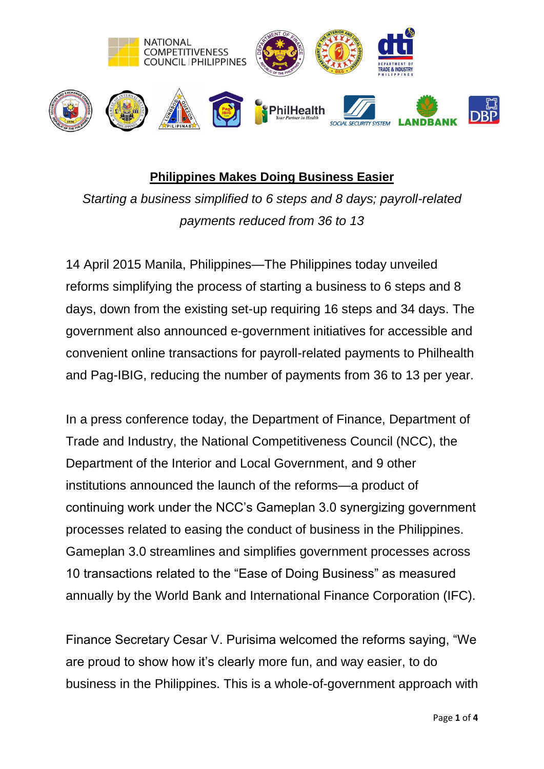

## **Philippines Makes Doing Business Easier**

*Starting a business simplified to 6 steps and 8 days; payroll-related payments reduced from 36 to 13*

14 April 2015 Manila, Philippines—The Philippines today unveiled reforms simplifying the process of starting a business to 6 steps and 8 days, down from the existing set-up requiring 16 steps and 34 days. The government also announced e-government initiatives for accessible and convenient online transactions for payroll-related payments to Philhealth and Pag-IBIG, reducing the number of payments from 36 to 13 per year.

In a press conference today, the Department of Finance, Department of Trade and Industry, the National Competitiveness Council (NCC), the Department of the Interior and Local Government, and 9 other institutions announced the launch of the reforms—a product of continuing work under the NCC's Gameplan 3.0 synergizing government processes related to easing the conduct of business in the Philippines. Gameplan 3.0 streamlines and simplifies government processes across 10 transactions related to the "Ease of Doing Business" as measured annually by the World Bank and International Finance Corporation (IFC).

Finance Secretary Cesar V. Purisima welcomed the reforms saying, "We are proud to show how it's clearly more fun, and way easier, to do business in the Philippines. This is a whole-of-government approach with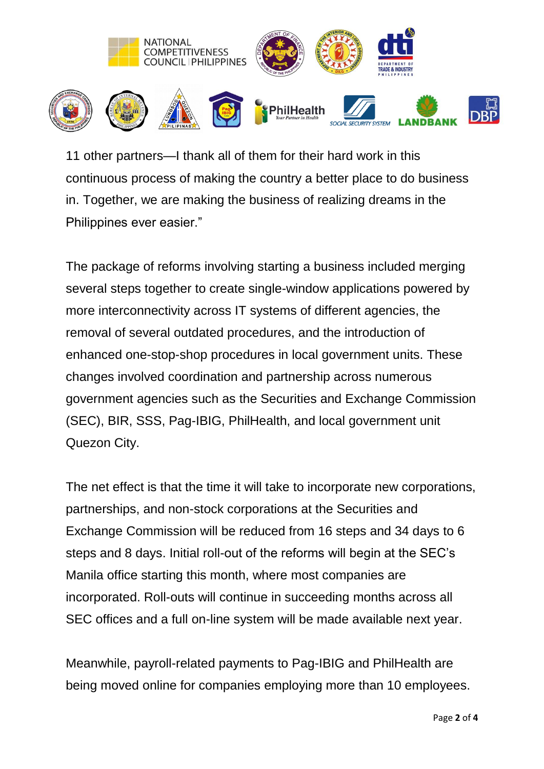

11 other partners—I thank all of them for their hard work in this continuous process of making the country a better place to do business in. Together, we are making the business of realizing dreams in the Philippines ever easier."

The package of reforms involving starting a business included merging several steps together to create single-window applications powered by more interconnectivity across IT systems of different agencies, the removal of several outdated procedures, and the introduction of enhanced one-stop-shop procedures in local government units. These changes involved coordination and partnership across numerous government agencies such as the Securities and Exchange Commission (SEC), BIR, SSS, Pag-IBIG, PhilHealth, and local government unit Quezon City.

The net effect is that the time it will take to incorporate new corporations, partnerships, and non-stock corporations at the Securities and Exchange Commission will be reduced from 16 steps and 34 days to 6 steps and 8 days. Initial roll-out of the reforms will begin at the SEC's Manila office starting this month, where most companies are incorporated. Roll-outs will continue in succeeding months across all SEC offices and a full on-line system will be made available next year.

Meanwhile, payroll-related payments to Pag-IBIG and PhilHealth are being moved online for companies employing more than 10 employees.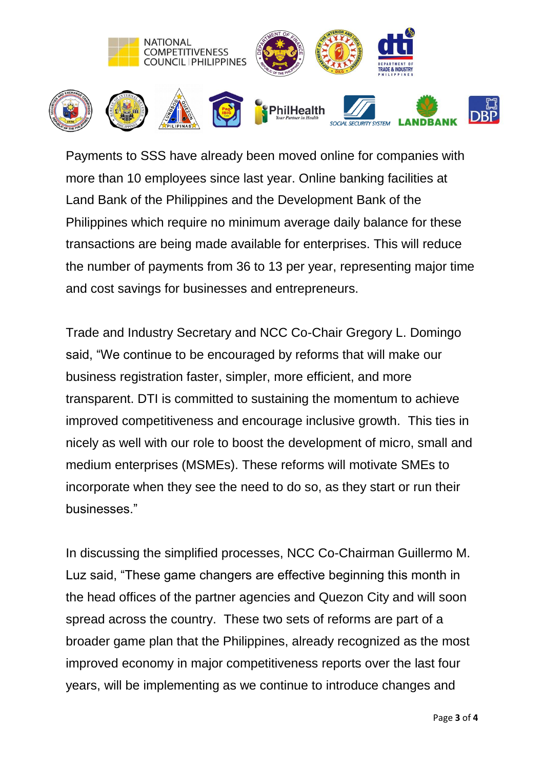

Payments to SSS have already been moved online for companies with more than 10 employees since last year. Online banking facilities at Land Bank of the Philippines and the Development Bank of the Philippines which require no minimum average daily balance for these transactions are being made available for enterprises. This will reduce the number of payments from 36 to 13 per year, representing major time and cost savings for businesses and entrepreneurs.

Trade and Industry Secretary and NCC Co-Chair Gregory L. Domingo said, "We continue to be encouraged by reforms that will make our business registration faster, simpler, more efficient, and more transparent. DTI is committed to sustaining the momentum to achieve improved competitiveness and encourage inclusive growth. This ties in nicely as well with our role to boost the development of micro, small and medium enterprises (MSMEs). These reforms will motivate SMEs to incorporate when they see the need to do so, as they start or run their businesses."

In discussing the simplified processes, NCC Co-Chairman Guillermo M. Luz said, "These game changers are effective beginning this month in the head offices of the partner agencies and Quezon City and will soon spread across the country. These two sets of reforms are part of a broader game plan that the Philippines, already recognized as the most improved economy in major competitiveness reports over the last four years, will be implementing as we continue to introduce changes and